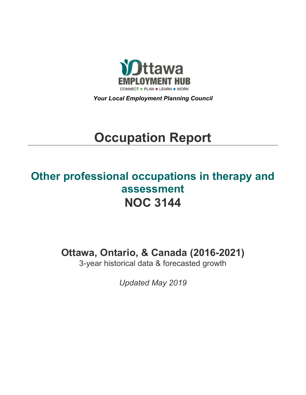

*Your Local Employment Planning Council*

# **Occupation Report**

# **Other professional occupations in therapy and assessment NOC 3144**

**Ottawa, Ontario, & Canada (2016-2021)**

3-year historical data & forecasted growth

*Updated May 2019*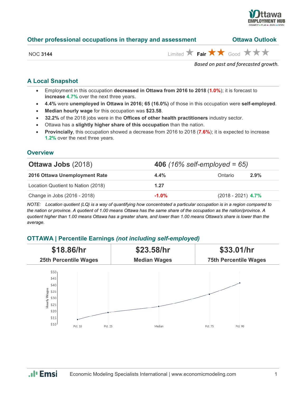

| Other professional occupations in therapy and assessment | <b>Ottawa Outlook</b> |  |  |
|----------------------------------------------------------|-----------------------|--|--|
|                                                          |                       |  |  |

NOC **3144** Limited **Fair Fair** Good **X X** 

*Based on past and forecasted growth.*

# **A Local Snapshot**

- Employment in this occupation **decreased in Ottawa from 2016 to 2018** (**1.0%**); it is forecast to **increase 4.7%** over the next three years.
- **4.4%** were **unemployed in Ottawa in 2016; 65 (16.0%)** of those in this occupation were **self-employed**.
- **Median hourly wage** for this occupation was **\$23.58**.
- **32.2%** of the 2018 jobs were in the **Offices of other health practitioners** industry sector.
- Ottawa has a **slightly higher share of this occupation** than the nation.
- **Provincially**, this occupation showed a decrease from 2016 to 2018 (**7.6%**); it is expected to increase **1.2%** over the next three years.

#### **Overview**

| <b>Ottawa Jobs (2018)</b>          | <b>406</b> (16% self-employed = 65) |                      |      |
|------------------------------------|-------------------------------------|----------------------|------|
| 2016 Ottawa Unemployment Rate      | $4.4\%$                             | Ontario              | 2.9% |
| Location Quotient to Nation (2018) | 1.27                                |                      |      |
| Change in Jobs (2016 - 2018)       | $-1.0%$                             | $(2018 - 2021)$ 4.7% |      |

*NOTE: Location quotient (LQ) is a way of quantifying how concentrated a particular occupation is in a region compared to the nation or province. A quotient of 1.00 means Ottawa has the same share of the occupation as the nation/province. A quotient higher than 1.00 means Ottawa has a greater share, and lower than 1.00 means Ottawa's share is lower than the average.*

## **OTTAWA | Percentile Earnings** *(not including self-employed)*



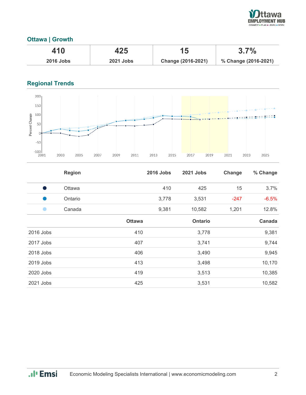

## **Ottawa | Growth**

| 410              | 425              |                    | 3.7%                 |
|------------------|------------------|--------------------|----------------------|
| <b>2016 Jobs</b> | <b>2021 Jobs</b> | Change (2016-2021) | % Change (2016-2021) |

# **Regional Trends**



|           | <b>Region</b> |               | <b>2016 Jobs</b> | <b>2021 Jobs</b> | Change | % Change |
|-----------|---------------|---------------|------------------|------------------|--------|----------|
| - 1       | Ottawa        |               | 410              | 425              | 15     | 3.7%     |
| u.        | Ontario       |               | 3,778            | 3,531            | $-247$ | $-6.5%$  |
|           | Canada        |               | 9,381            | 10,582           | 1,201  | 12.8%    |
|           |               | <b>Ottawa</b> |                  | <b>Ontario</b>   |        | Canada   |
| 2016 Jobs |               | 410           |                  | 3,778            |        | 9,381    |
| 2017 Jobs |               | 407           |                  | 3,741            |        | 9,744    |
| 2018 Jobs |               | 406           |                  | 3,490            |        | 9,945    |
| 2019 Jobs |               | 413           |                  | 3,498            |        | 10,170   |
| 2020 Jobs |               | 419           |                  | 3,513            |        | 10,385   |
| 2021 Jobs |               | 425           |                  | 3,531            |        | 10,582   |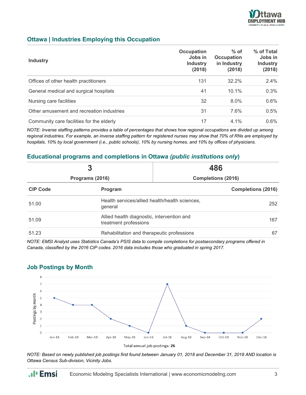

#### **Ottawa | Industries Employing this Occupation**

| <b>Industry</b>                           | <b>Occupation</b><br>Jobs in<br><b>Industry</b><br>(2018) | $%$ of<br><b>Occupation</b><br>in Industry<br>(2018) | % of Total<br>Jobs in<br><b>Industry</b><br>(2018) |
|-------------------------------------------|-----------------------------------------------------------|------------------------------------------------------|----------------------------------------------------|
| Offices of other health practitioners     | 131                                                       | $32.2\%$                                             | 2.4%                                               |
| General medical and surgical hospitals    | 41                                                        | $10.1\%$                                             | 0.3%                                               |
| Nursing care facilities                   | 32                                                        | 8.0%                                                 | 0.6%                                               |
| Other amusement and recreation industries | 31                                                        | 7.6%                                                 | 0.5%                                               |
| Community care facilities for the elderly | 17                                                        | 4.1%                                                 | 0.6%                                               |

*NOTE: Inverse staffing patterns provides a table of percentages that shows how regional occupations are divided up among regional industries. For example, an inverse staffing pattern for registered nurses may show that 70% of RNs are employed by hospitals, 10% by local government (i.e., public schools), 10% by nursing homes, and 10% by offices of physicians.*

#### **Educational programs and completions in Ottawa** *(public institutions only***)**

| 3<br>Programs (2016) |                                                                     | 486                       |                           |
|----------------------|---------------------------------------------------------------------|---------------------------|---------------------------|
|                      |                                                                     | <b>Completions (2016)</b> |                           |
| <b>CIP Code</b>      | Program                                                             |                           | <b>Completions (2016)</b> |
| 51.00                | Health services/allied health/health sciences,<br>general           |                           | 252                       |
| 51.09                | Allied health diagnostic, intervention and<br>treatment professions |                           | 167                       |
| 51.23                | Rehabilitation and therapeutic professions                          |                           | 67                        |

*NOTE: EMSI Analyst uses Statistics Canada's PSIS data to compile completions for postsecondary programs offered in Canada, classified by the 2016 CIP codes. 2016 data includes those who graduated in spring 2017.*



#### **Job Postings by Month**

.**.**I<sub>I</sub> Emsi

*NOTE: Based on newly published job postings first found between January 01, 2018 and December 31, 2018 AND location is Ottawa Census Sub-division, Vicinity Jobs.*